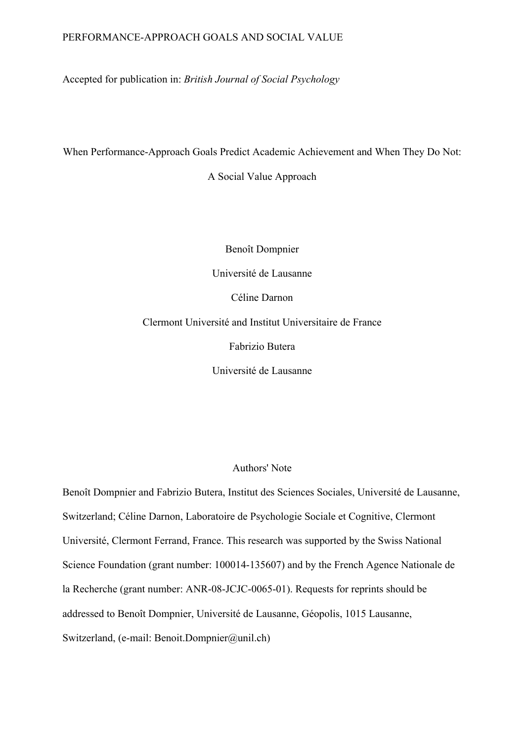# PERFORMANCE-APPROACH GOALS AND SOCIAL VALUE

Accepted for publication in: *British Journal of Social Psychology*

When Performance-Approach Goals Predict Academic Achievement and When They Do Not:

A Social Value Approach

Benoît Dompnier

Université de Lausanne

Céline Darnon

Clermont Université and Institut Universitaire de France

Fabrizio Butera

Université de Lausanne

# Authors' Note

Benoît Dompnier and Fabrizio Butera, Institut des Sciences Sociales, Université de Lausanne, Switzerland; Céline Darnon, Laboratoire de Psychologie Sociale et Cognitive, Clermont Université, Clermont Ferrand, France. This research was supported by the Swiss National Science Foundation (grant number: 100014-135607) and by the French Agence Nationale de la Recherche (grant number: ANR-08-JCJC-0065-01). Requests for reprints should be addressed to Benoît Dompnier, Université de Lausanne, Géopolis, 1015 Lausanne, Switzerland, (e-mail: Benoit.Dompnier@unil.ch)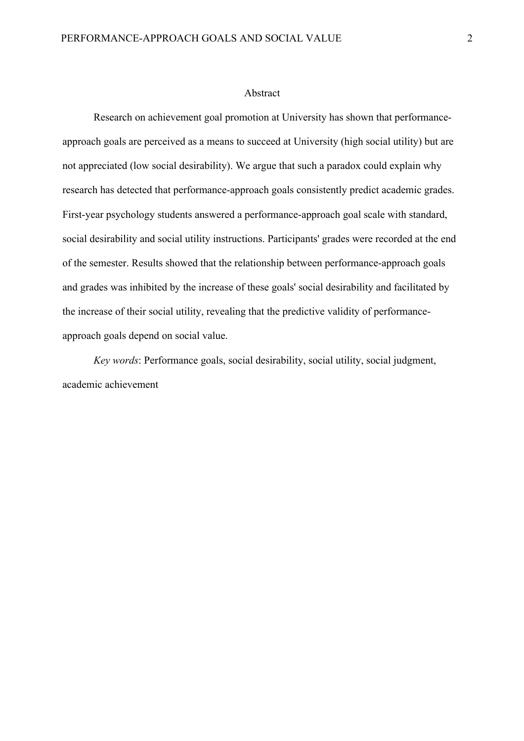#### Abstract

Research on achievement goal promotion at University has shown that performanceapproach goals are perceived as a means to succeed at University (high social utility) but are not appreciated (low social desirability). We argue that such a paradox could explain why research has detected that performance-approach goals consistently predict academic grades. First-year psychology students answered a performance-approach goal scale with standard, social desirability and social utility instructions. Participants' grades were recorded at the end of the semester. Results showed that the relationship between performance-approach goals and grades was inhibited by the increase of these goals' social desirability and facilitated by the increase of their social utility, revealing that the predictive validity of performanceapproach goals depend on social value.

*Key words*: Performance goals, social desirability, social utility, social judgment, academic achievement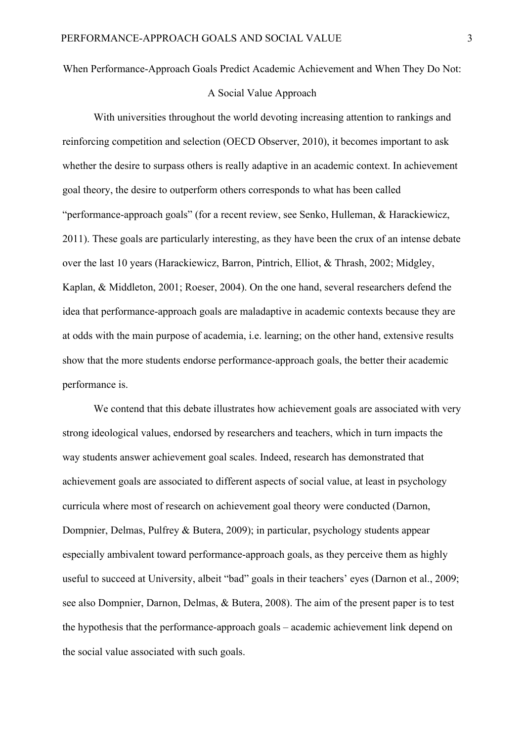# When Performance-Approach Goals Predict Academic Achievement and When They Do Not:

# A Social Value Approach

With universities throughout the world devoting increasing attention to rankings and reinforcing competition and selection (OECD Observer, 2010), it becomes important to ask whether the desire to surpass others is really adaptive in an academic context. In achievement goal theory, the desire to outperform others corresponds to what has been called "performance-approach goals" (for a recent review, see Senko, Hulleman, & Harackiewicz, 2011). These goals are particularly interesting, as they have been the crux of an intense debate over the last 10 years (Harackiewicz, Barron, Pintrich, Elliot, & Thrash, 2002; Midgley, Kaplan, & Middleton, 2001; Roeser, 2004). On the one hand, several researchers defend the idea that performance-approach goals are maladaptive in academic contexts because they are at odds with the main purpose of academia, i.e. learning; on the other hand, extensive results show that the more students endorse performance-approach goals, the better their academic performance is.

We contend that this debate illustrates how achievement goals are associated with very strong ideological values, endorsed by researchers and teachers, which in turn impacts the way students answer achievement goal scales. Indeed, research has demonstrated that achievement goals are associated to different aspects of social value, at least in psychology curricula where most of research on achievement goal theory were conducted (Darnon, Dompnier, Delmas, Pulfrey & Butera, 2009); in particular, psychology students appear especially ambivalent toward performance-approach goals, as they perceive them as highly useful to succeed at University, albeit "bad" goals in their teachers' eyes (Darnon et al., 2009; see also Dompnier, Darnon, Delmas, & Butera, 2008). The aim of the present paper is to test the hypothesis that the performance-approach goals – academic achievement link depend on the social value associated with such goals.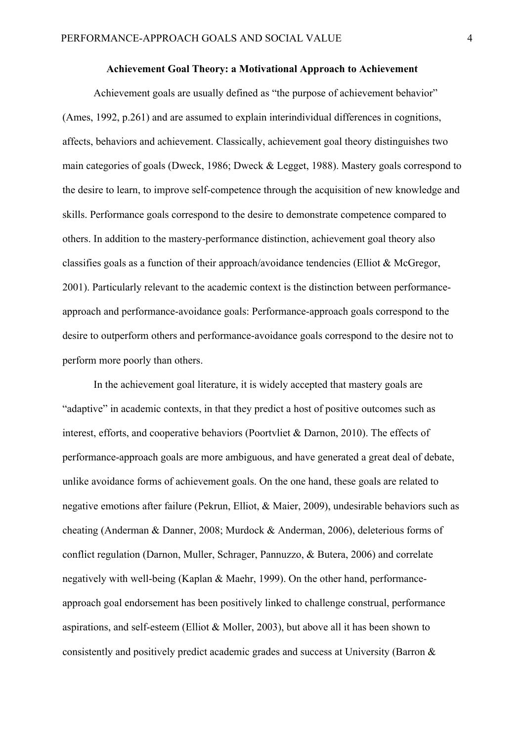# **Achievement Goal Theory: a Motivational Approach to Achievement**

Achievement goals are usually defined as "the purpose of achievement behavior" (Ames, 1992, p.261) and are assumed to explain interindividual differences in cognitions, affects, behaviors and achievement. Classically, achievement goal theory distinguishes two main categories of goals (Dweck, 1986; Dweck & Legget, 1988). Mastery goals correspond to the desire to learn, to improve self-competence through the acquisition of new knowledge and skills. Performance goals correspond to the desire to demonstrate competence compared to others. In addition to the mastery-performance distinction, achievement goal theory also classifies goals as a function of their approach/avoidance tendencies (Elliot & McGregor, 2001). Particularly relevant to the academic context is the distinction between performanceapproach and performance-avoidance goals: Performance-approach goals correspond to the desire to outperform others and performance-avoidance goals correspond to the desire not to perform more poorly than others.

In the achievement goal literature, it is widely accepted that mastery goals are "adaptive" in academic contexts, in that they predict a host of positive outcomes such as interest, efforts, and cooperative behaviors (Poortvliet & Darnon, 2010). The effects of performance-approach goals are more ambiguous, and have generated a great deal of debate, unlike avoidance forms of achievement goals. On the one hand, these goals are related to negative emotions after failure (Pekrun, Elliot, & Maier, 2009), undesirable behaviors such as cheating (Anderman & Danner, 2008; Murdock & Anderman, 2006), deleterious forms of conflict regulation (Darnon, Muller, Schrager, Pannuzzo, & Butera, 2006) and correlate negatively with well-being (Kaplan & Maehr, 1999). On the other hand, performanceapproach goal endorsement has been positively linked to challenge construal, performance aspirations, and self-esteem (Elliot & Moller, 2003), but above all it has been shown to consistently and positively predict academic grades and success at University (Barron &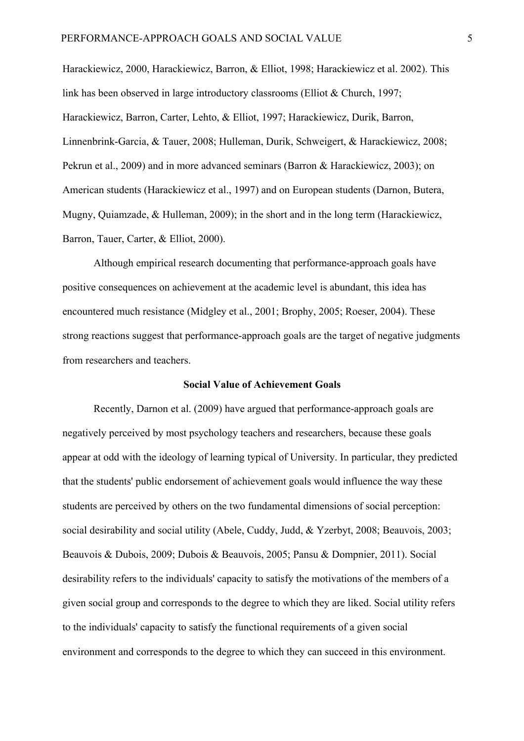Harackiewicz, 2000, Harackiewicz, Barron, & Elliot, 1998; Harackiewicz et al. 2002). This link has been observed in large introductory classrooms (Elliot & Church, 1997; Harackiewicz, Barron, Carter, Lehto, & Elliot, 1997; Harackiewicz, Durik, Barron, Linnenbrink-Garcia, & Tauer, 2008; Hulleman, Durik, Schweigert, & Harackiewicz, 2008; Pekrun et al., 2009) and in more advanced seminars (Barron & Harackiewicz, 2003); on American students (Harackiewicz et al., 1997) and on European students (Darnon, Butera, Mugny, Quiamzade, & Hulleman, 2009); in the short and in the long term (Harackiewicz, Barron, Tauer, Carter, & Elliot, 2000).

Although empirical research documenting that performance-approach goals have positive consequences on achievement at the academic level is abundant, this idea has encountered much resistance (Midgley et al., 2001; Brophy, 2005; Roeser, 2004). These strong reactions suggest that performance-approach goals are the target of negative judgments from researchers and teachers.

#### **Social Value of Achievement Goals**

Recently, Darnon et al. (2009) have argued that performance-approach goals are negatively perceived by most psychology teachers and researchers, because these goals appear at odd with the ideology of learning typical of University. In particular, they predicted that the students' public endorsement of achievement goals would influence the way these students are perceived by others on the two fundamental dimensions of social perception: social desirability and social utility (Abele, Cuddy, Judd, & Yzerbyt, 2008; Beauvois, 2003; Beauvois & Dubois, 2009; Dubois & Beauvois, 2005; Pansu & Dompnier, 2011). Social desirability refers to the individuals' capacity to satisfy the motivations of the members of a given social group and corresponds to the degree to which they are liked. Social utility refers to the individuals' capacity to satisfy the functional requirements of a given social environment and corresponds to the degree to which they can succeed in this environment.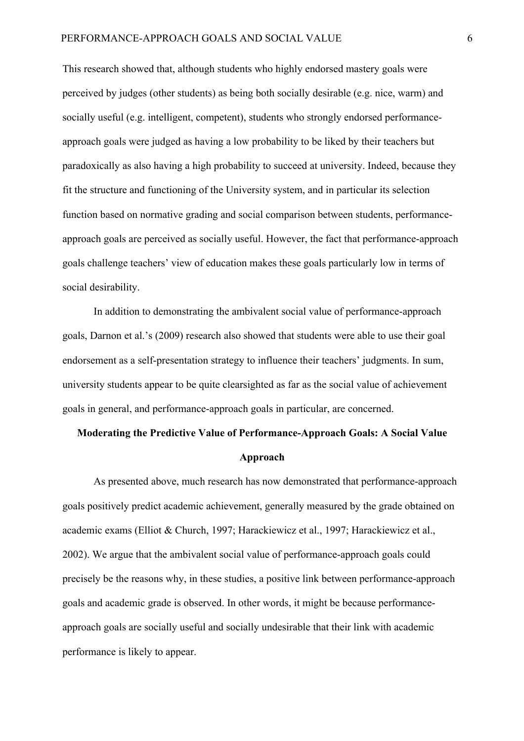This research showed that, although students who highly endorsed mastery goals were perceived by judges (other students) as being both socially desirable (e.g. nice, warm) and socially useful (e.g. intelligent, competent), students who strongly endorsed performanceapproach goals were judged as having a low probability to be liked by their teachers but paradoxically as also having a high probability to succeed at university. Indeed, because they fit the structure and functioning of the University system, and in particular its selection function based on normative grading and social comparison between students, performanceapproach goals are perceived as socially useful. However, the fact that performance-approach goals challenge teachers' view of education makes these goals particularly low in terms of social desirability.

In addition to demonstrating the ambivalent social value of performance-approach goals, Darnon et al.'s (2009) research also showed that students were able to use their goal endorsement as a self-presentation strategy to influence their teachers' judgments. In sum, university students appear to be quite clearsighted as far as the social value of achievement goals in general, and performance-approach goals in particular, are concerned.

# **Moderating the Predictive Value of Performance-Approach Goals: A Social Value Approach**

As presented above, much research has now demonstrated that performance-approach goals positively predict academic achievement, generally measured by the grade obtained on academic exams (Elliot & Church, 1997; Harackiewicz et al., 1997; Harackiewicz et al., 2002). We argue that the ambivalent social value of performance-approach goals could precisely be the reasons why, in these studies, a positive link between performance-approach goals and academic grade is observed. In other words, it might be because performanceapproach goals are socially useful and socially undesirable that their link with academic performance is likely to appear.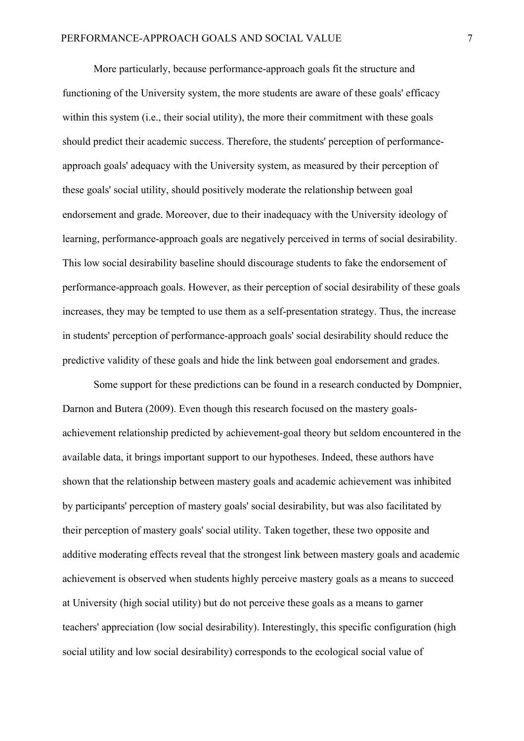More particularly, because performance-approach goals fit the structure and functioning of the University system, the more students are aware of these goals' efficacy within this system (i.e., their social utility), the more their commitment with these goals should predict their academic success. Therefore, the students' perception of performanceapproach goals' adequacy with the University system, as measured by their perception of these goals' social utility, should positively moderate the relationship between goal endorsement and grade. Moreover, due to their inadequacy with the University ideology of learning, performance-approach goals are negatively perceived in terms of social desirability. This low social desirability baseline should discourage students to fake the endorsement of performance-approach goals. However, as their perception of social desirability of these goals increases, they may be tempted to use them as a self-presentation strategy. Thus, the increase in students' perception of performance-approach goals' social desirability should reduce the predictive validity of these goals and hide the link between goal endorsement and grades.

Some support for these predictions can be found in a research conducted by Dompnier, Darnon and Butera (2009). Even though this research focused on the mastery goalsachievement relationship predicted by achievement-goal theory but seldom encountered in the available data, it brings important support to our hypotheses. Indeed, these authors have shown that the relationship between mastery goals and academic achievement was inhibited by participants' perception of mastery goals' social desirability, but was also facilitated by their perception of mastery goals' social utility. Taken together, these two opposite and additive moderating effects reveal that the strongest link between mastery goals and academic achievement is observed when students highly perceive mastery goals as a means to succeed at University (high social utility) but do not perceive these goals as a means to garner teachers' appreciation (low social desirability). Interestingly, this specific configuration (high social utility and low social desirability) corresponds to the ecological social value of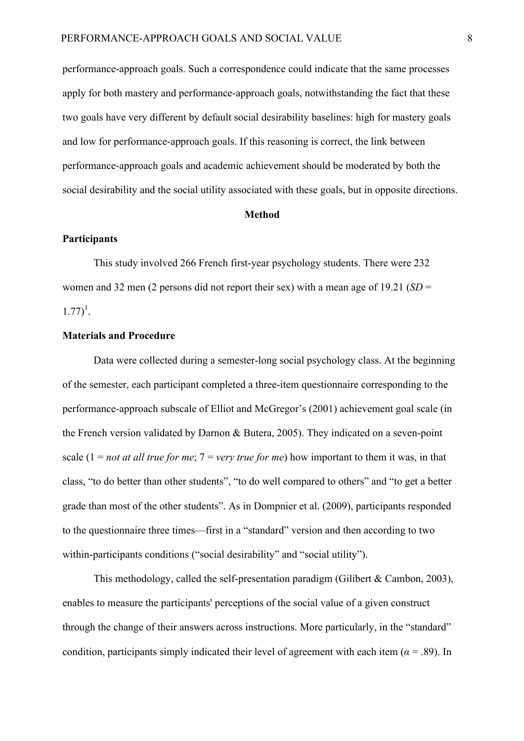performance-approach goals. Such a correspondence could indicate that the same processes apply for both mastery and performance-approach goals, notwithstanding the fact that these two goals have very different by default social desirability baselines: high for mastery goals and low for performance-approach goals. If this reasoning is correct, the link between performance-approach goals and academic achievement should be moderated by both the social desirability and the social utility associated with these goals, but in opposite directions.

#### **Method**

#### **Participants**

This study involved 266 French first-year psychology students. There were 232 women and 32 men (2 persons did not report their sex) with a mean age of 19.21 (*SD* =  $1.77)^1$ .

# **Materials and Procedure**

Data were collected during a semester-long social psychology class. At the beginning of the semester, each participant completed a three-item questionnaire corresponding to the performance-approach subscale of Elliot and McGregor's (2001) achievement goal scale (in the French version validated by Darnon & Butera, 2005). They indicated on a seven-point scale (1 = *not at all true for me*; 7 = *very true for me*) how important to them it was, in that class, "to do better than other students", "to do well compared to others" and "to get a better grade than most of the other students". As in Dompnier et al. (2009), participants responded to the questionnaire three times—first in a "standard" version and then according to two within-participants conditions ("social desirability" and "social utility").

This methodology, called the self-presentation paradigm (Gilibert & Cambon, 2003), enables to measure the participants' perceptions of the social value of a given construct through the change of their answers across instructions. More particularly, in the "standard" condition, participants simply indicated their level of agreement with each item ( $\alpha$  = .89). In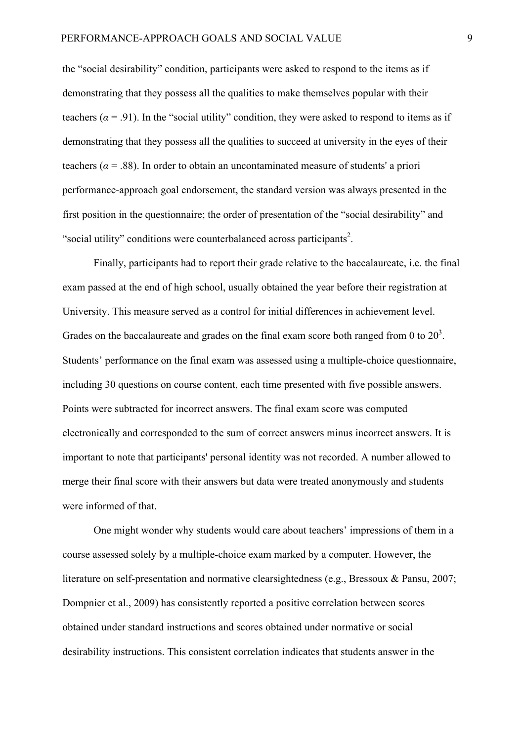the "social desirability" condition, participants were asked to respond to the items as if demonstrating that they possess all the qualities to make themselves popular with their teachers ( $\alpha$  = .91). In the "social utility" condition, they were asked to respond to items as if demonstrating that they possess all the qualities to succeed at university in the eyes of their teachers ( $\alpha$  = .88). In order to obtain an uncontaminated measure of students' a priori performance-approach goal endorsement, the standard version was always presented in the first position in the questionnaire; the order of presentation of the "social desirability" and "social utility" conditions were counterbalanced across participants<sup>2</sup>.

Finally, participants had to report their grade relative to the baccalaureate, i.e. the final exam passed at the end of high school, usually obtained the year before their registration at University. This measure served as a control for initial differences in achievement level. Grades on the baccalaureate and grades on the final exam score both ranged from 0 to  $20<sup>3</sup>$ . Students' performance on the final exam was assessed using a multiple-choice questionnaire, including 30 questions on course content, each time presented with five possible answers. Points were subtracted for incorrect answers. The final exam score was computed electronically and corresponded to the sum of correct answers minus incorrect answers. It is important to note that participants' personal identity was not recorded. A number allowed to merge their final score with their answers but data were treated anonymously and students were informed of that.

One might wonder why students would care about teachers' impressions of them in a course assessed solely by a multiple-choice exam marked by a computer. However, the literature on self-presentation and normative clearsightedness (e.g., Bressoux & Pansu, 2007; Dompnier et al., 2009) has consistently reported a positive correlation between scores obtained under standard instructions and scores obtained under normative or social desirability instructions. This consistent correlation indicates that students answer in the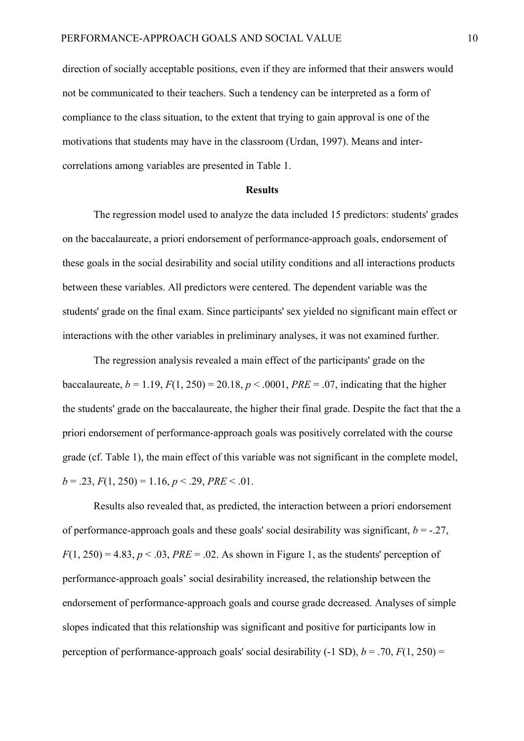direction of socially acceptable positions, even if they are informed that their answers would not be communicated to their teachers. Such a tendency can be interpreted as a form of compliance to the class situation, to the extent that trying to gain approval is one of the motivations that students may have in the classroom (Urdan, 1997). Means and intercorrelations among variables are presented in Table 1.

#### **Results**

The regression model used to analyze the data included 15 predictors: students' grades on the baccalaureate, a priori endorsement of performance-approach goals, endorsement of these goals in the social desirability and social utility conditions and all interactions products between these variables. All predictors were centered. The dependent variable was the students' grade on the final exam. Since participants' sex yielded no significant main effect or interactions with the other variables in preliminary analyses, it was not examined further.

The regression analysis revealed a main effect of the participants' grade on the baccalaureate,  $b = 1.19$ ,  $F(1, 250) = 20.18$ ,  $p < .0001$ ,  $PRE = .07$ , indicating that the higher the students' grade on the baccalaureate, the higher their final grade. Despite the fact that the a priori endorsement of performance-approach goals was positively correlated with the course grade (cf. Table 1), the main effect of this variable was not significant in the complete model,  $b = .23$ ,  $F(1, 250) = 1.16$ ,  $p < .29$ ,  $PRE < .01$ .

Results also revealed that, as predicted, the interaction between a priori endorsement of performance-approach goals and these goals' social desirability was significant,  $b = -27$ ,  $F(1, 250) = 4.83$ ,  $p < .03$ , *PRE* = .02. As shown in Figure 1, as the students' perception of performance-approach goals' social desirability increased, the relationship between the endorsement of performance-approach goals and course grade decreased. Analyses of simple slopes indicated that this relationship was significant and positive for participants low in perception of performance-approach goals' social desirability (-1 SD),  $b = .70$ ,  $F(1, 250) =$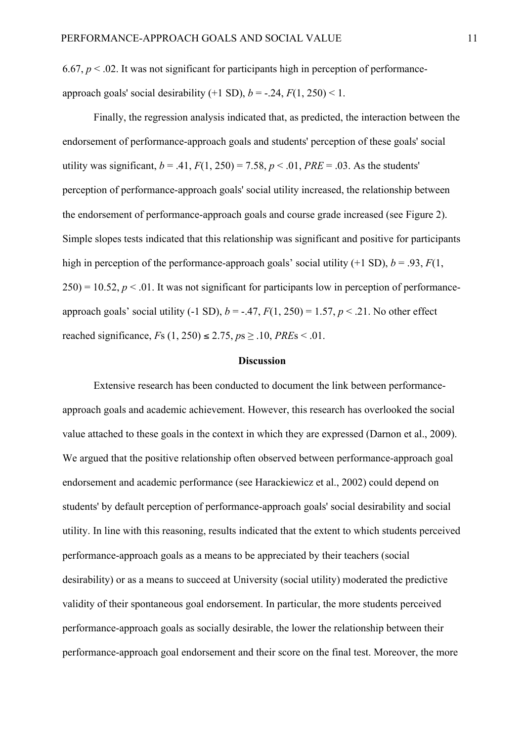6.67,  $p < 0.02$ . It was not significant for participants high in perception of performanceapproach goals' social desirability  $(+1 \text{ SD})$ ,  $b = -0.24$ ,  $F(1, 250) < 1$ .

Finally, the regression analysis indicated that, as predicted, the interaction between the endorsement of performance-approach goals and students' perception of these goals' social utility was significant,  $b = .41$ ,  $F(1, 250) = 7.58$ ,  $p < .01$ ,  $PRE = .03$ . As the students' perception of performance-approach goals' social utility increased, the relationship between the endorsement of performance-approach goals and course grade increased (see Figure 2). Simple slopes tests indicated that this relationship was significant and positive for participants high in perception of the performance-approach goals' social utility  $(+1 S D)$ ,  $b = .93$ ,  $F(1)$ ,  $250$ ) = 10.52,  $p < 0.01$ . It was not significant for participants low in perception of performanceapproach goals' social utility  $(-1 SD)$ ,  $b = -.47$ ,  $F(1, 250) = 1.57$ ,  $p < .21$ . No other effect reached significance,  $Fs(1, 250) \le 2.75$ ,  $ps \ge .10$ ,  $PREs < .01$ .

#### **Discussion**

Extensive research has been conducted to document the link between performanceapproach goals and academic achievement. However, this research has overlooked the social value attached to these goals in the context in which they are expressed (Darnon et al., 2009). We argued that the positive relationship often observed between performance-approach goal endorsement and academic performance (see Harackiewicz et al., 2002) could depend on students' by default perception of performance-approach goals' social desirability and social utility. In line with this reasoning, results indicated that the extent to which students perceived performance-approach goals as a means to be appreciated by their teachers (social desirability) or as a means to succeed at University (social utility) moderated the predictive validity of their spontaneous goal endorsement. In particular, the more students perceived performance-approach goals as socially desirable, the lower the relationship between their performance-approach goal endorsement and their score on the final test. Moreover, the more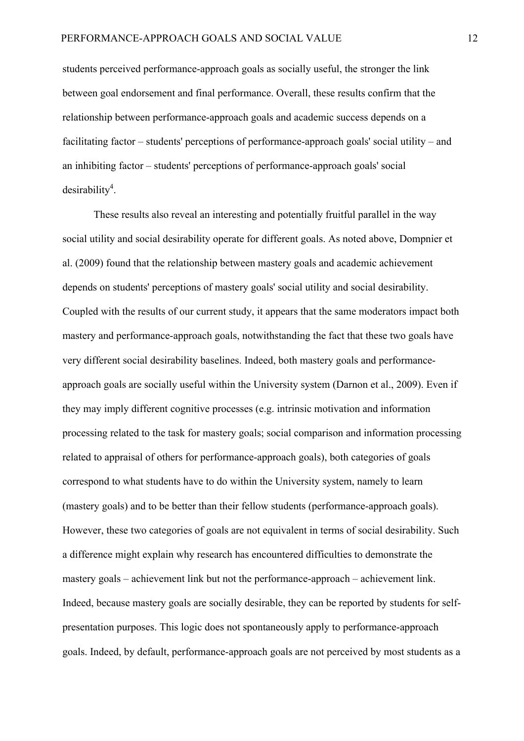students perceived performance-approach goals as socially useful, the stronger the link between goal endorsement and final performance. Overall, these results confirm that the relationship between performance-approach goals and academic success depends on a facilitating factor – students' perceptions of performance-approach goals' social utility – and an inhibiting factor – students' perceptions of performance-approach goals' social  $desirability<sup>4</sup>$ .

These results also reveal an interesting and potentially fruitful parallel in the way social utility and social desirability operate for different goals. As noted above, Dompnier et al. (2009) found that the relationship between mastery goals and academic achievement depends on students' perceptions of mastery goals' social utility and social desirability. Coupled with the results of our current study, it appears that the same moderators impact both mastery and performance-approach goals, notwithstanding the fact that these two goals have very different social desirability baselines. Indeed, both mastery goals and performanceapproach goals are socially useful within the University system (Darnon et al., 2009). Even if they may imply different cognitive processes (e.g. intrinsic motivation and information processing related to the task for mastery goals; social comparison and information processing related to appraisal of others for performance-approach goals), both categories of goals correspond to what students have to do within the University system, namely to learn (mastery goals) and to be better than their fellow students (performance-approach goals). However, these two categories of goals are not equivalent in terms of social desirability. Such a difference might explain why research has encountered difficulties to demonstrate the mastery goals – achievement link but not the performance-approach – achievement link. Indeed, because mastery goals are socially desirable, they can be reported by students for selfpresentation purposes. This logic does not spontaneously apply to performance-approach goals. Indeed, by default, performance-approach goals are not perceived by most students as a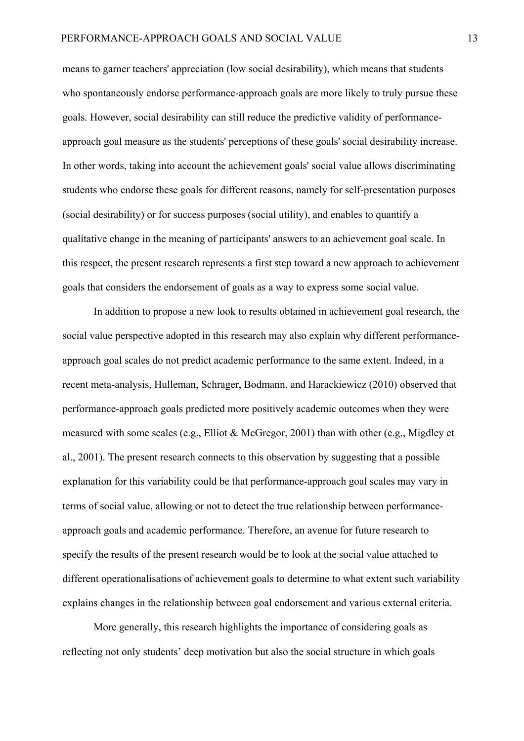means to garner teachers' appreciation (low social desirability), which means that students who spontaneously endorse performance-approach goals are more likely to truly pursue these goals. However, social desirability can still reduce the predictive validity of performanceapproach goal measure as the students' perceptions of these goals' social desirability increase. In other words, taking into account the achievement goals' social value allows discriminating students who endorse these goals for different reasons, namely for self-presentation purposes (social desirability) or for success purposes (social utility), and enables to quantify a qualitative change in the meaning of participants' answers to an achievement goal scale. In this respect, the present research represents a first step toward a new approach to achievement goals that considers the endorsement of goals as a way to express some social value.

In addition to propose a new look to results obtained in achievement goal research, the social value perspective adopted in this research may also explain why different performanceapproach goal scales do not predict academic performance to the same extent. Indeed, in a recent meta-analysis, Hulleman, Schrager, Bodmann, and Harackiewicz (2010) observed that performance-approach goals predicted more positively academic outcomes when they were measured with some scales (e.g., Elliot & McGregor, 2001) than with other (e.g., Migdley et al., 2001). The present research connects to this observation by suggesting that a possible explanation for this variability could be that performance-approach goal scales may vary in terms of social value, allowing or not to detect the true relationship between performanceapproach goals and academic performance. Therefore, an avenue for future research to specify the results of the present research would be to look at the social value attached to different operationalisations of achievement goals to determine to what extent such variability explains changes in the relationship between goal endorsement and various external criteria.

More generally, this research highlights the importance of considering goals as reflecting not only students' deep motivation but also the social structure in which goals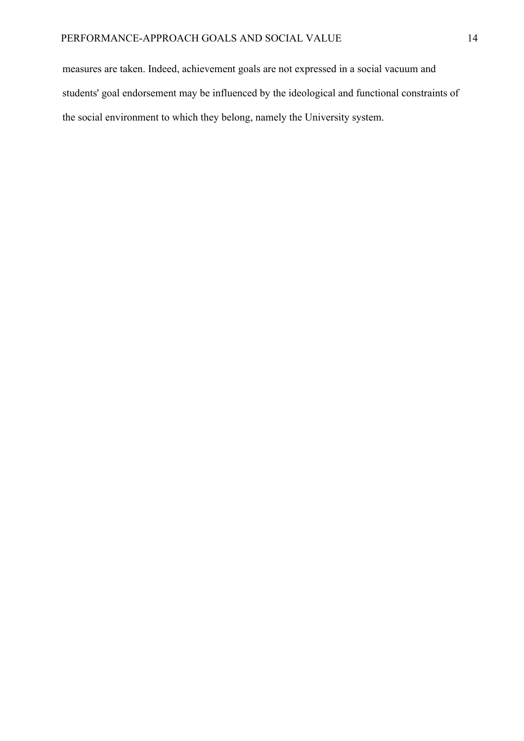measures are taken. Indeed, achievement goals are not expressed in a social vacuum and students' goal endorsement may be influenced by the ideological and functional constraints of the social environment to which they belong, namely the University system.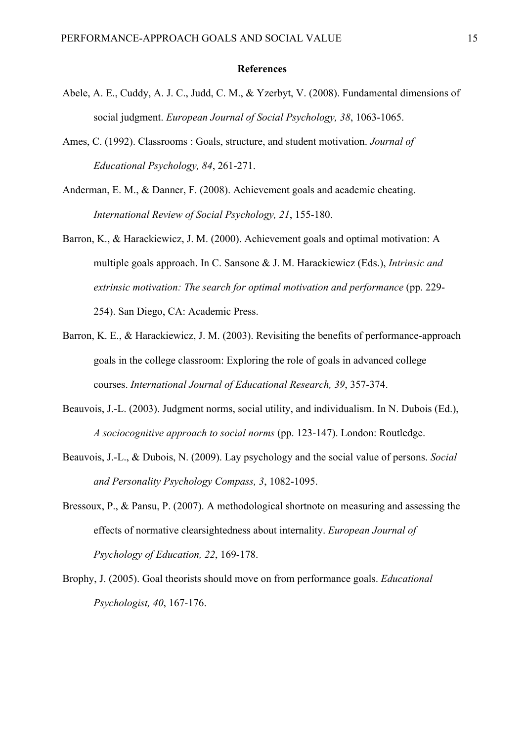#### **References**

- Abele, A. E., Cuddy, A. J. C., Judd, C. M., & Yzerbyt, V. (2008). Fundamental dimensions of social judgment. *European Journal of Social Psychology, 38*, 1063-1065.
- Ames, C. (1992). Classrooms : Goals, structure, and student motivation. *Journal of Educational Psychology, 84*, 261-271.
- Anderman, E. M., & Danner, F. (2008). Achievement goals and academic cheating. *International Review of Social Psychology, 21*, 155-180.
- Barron, K., & Harackiewicz, J. M. (2000). Achievement goals and optimal motivation: A multiple goals approach. In C. Sansone & J. M. Harackiewicz (Eds.), *Intrinsic and extrinsic motivation: The search for optimal motivation and performance* (pp. 229- 254). San Diego, CA: Academic Press.
- Barron, K. E., & Harackiewicz, J. M. (2003). Revisiting the benefits of performance-approach goals in the college classroom: Exploring the role of goals in advanced college courses. *International Journal of Educational Research, 39*, 357-374.
- Beauvois, J.-L. (2003). Judgment norms, social utility, and individualism. In N. Dubois (Ed.), *A sociocognitive approach to social norms* (pp. 123-147). London: Routledge.
- Beauvois, J.-L., & Dubois, N. (2009). Lay psychology and the social value of persons. *Social and Personality Psychology Compass, 3*, 1082-1095.
- Bressoux, P., & Pansu, P. (2007). A methodological shortnote on measuring and assessing the effects of normative clearsightedness about internality. *European Journal of Psychology of Education, 22*, 169-178.
- Brophy, J. (2005). Goal theorists should move on from performance goals. *Educational Psychologist, 40*, 167-176.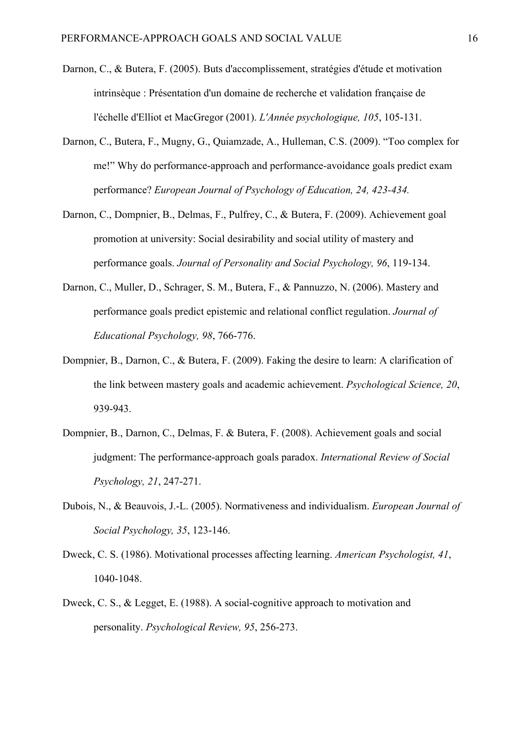- Darnon, C., & Butera, F. (2005). Buts d'accomplissement, stratégies d'étude et motivation intrinsèque : Présentation d'un domaine de recherche et validation française de l'échelle d'Elliot et MacGregor (2001). *L'Année psychologique, 105*, 105-131.
- Darnon, C., Butera, F., Mugny, G., Quiamzade, A., Hulleman, C.S. (2009). "Too complex for me!" Why do performance-approach and performance-avoidance goals predict exam performance? *European Journal of Psychology of Education, 24, 423-434.*
- Darnon, C., Dompnier, B., Delmas, F., Pulfrey, C., & Butera, F. (2009). Achievement goal promotion at university: Social desirability and social utility of mastery and performance goals. *Journal of Personality and Social Psychology, 96*, 119-134.
- Darnon, C., Muller, D., Schrager, S. M., Butera, F., & Pannuzzo, N. (2006). Mastery and performance goals predict epistemic and relational conflict regulation. *Journal of Educational Psychology, 98*, 766-776.
- Dompnier, B., Darnon, C., & Butera, F. (2009). Faking the desire to learn: A clarification of the link between mastery goals and academic achievement. *Psychological Science, 20*, 939-943.
- Dompnier, B., Darnon, C., Delmas, F. & Butera, F. (2008). Achievement goals and social judgment: The performance-approach goals paradox. *International Review of Social Psychology, 21*, 247-271.
- Dubois, N., & Beauvois, J.-L. (2005). Normativeness and individualism. *European Journal of Social Psychology, 35*, 123-146.
- Dweck, C. S. (1986). Motivational processes affecting learning. *American Psychologist, 41*, 1040-1048.
- Dweck, C. S., & Legget, E. (1988). A social-cognitive approach to motivation and personality. *Psychological Review, 95*, 256-273.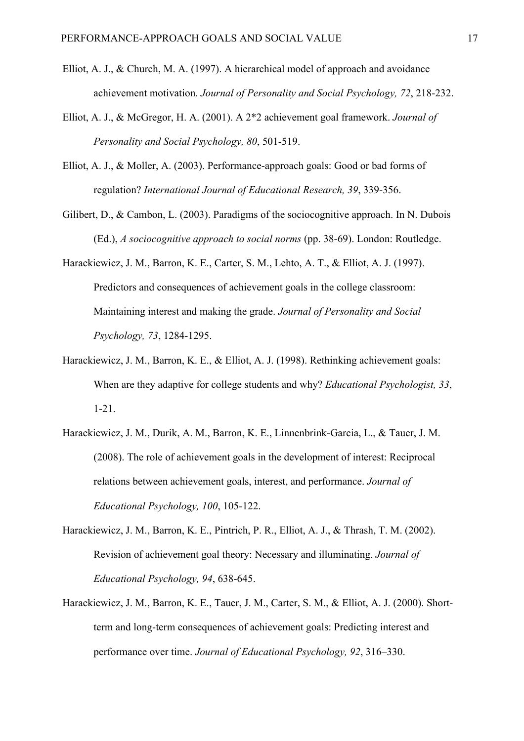- Elliot, A. J., & Church, M. A. (1997). A hierarchical model of approach and avoidance achievement motivation. *Journal of Personality and Social Psychology, 72*, 218-232.
- Elliot, A. J., & McGregor, H. A. (2001). A 2\*2 achievement goal framework. *Journal of Personality and Social Psychology, 80*, 501-519.
- Elliot, A. J., & Moller, A. (2003). Performance-approach goals: Good or bad forms of regulation? *International Journal of Educational Research, 39*, 339-356.
- Gilibert, D., & Cambon, L. (2003). Paradigms of the sociocognitive approach. In N. Dubois (Ed.), *A sociocognitive approach to social norms* (pp. 38-69). London: Routledge.
- Harackiewicz, J. M., Barron, K. E., Carter, S. M., Lehto, A. T., & Elliot, A. J. (1997). Predictors and consequences of achievement goals in the college classroom: Maintaining interest and making the grade. *Journal of Personality and Social Psychology, 73*, 1284-1295.
- Harackiewicz, J. M., Barron, K. E., & Elliot, A. J. (1998). Rethinking achievement goals: When are they adaptive for college students and why? *Educational Psychologist, 33*, 1-21.
- Harackiewicz, J. M., Durik, A. M., Barron, K. E., Linnenbrink-Garcia, L., & Tauer, J. M. (2008). The role of achievement goals in the development of interest: Reciprocal relations between achievement goals, interest, and performance. *Journal of Educational Psychology, 100*, 105-122.
- Harackiewicz, J. M., Barron, K. E., Pintrich, P. R., Elliot, A. J., & Thrash, T. M. (2002). Revision of achievement goal theory: Necessary and illuminating. *Journal of Educational Psychology, 94*, 638-645.
- Harackiewicz, J. M., Barron, K. E., Tauer, J. M., Carter, S. M., & Elliot, A. J. (2000). Shortterm and long-term consequences of achievement goals: Predicting interest and performance over time. *Journal of Educational Psychology, 92*, 316–330.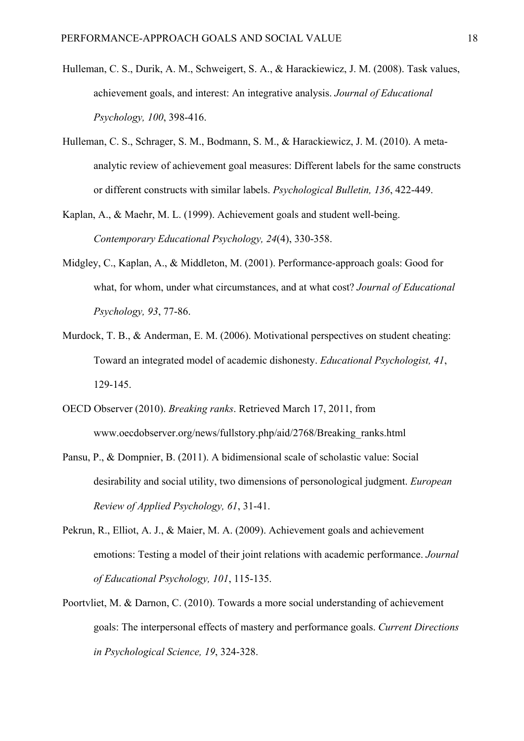- Hulleman, C. S., Durik, A. M., Schweigert, S. A., & Harackiewicz, J. M. (2008). Task values, achievement goals, and interest: An integrative analysis. *Journal of Educational Psychology, 100*, 398-416.
- Hulleman, C. S., Schrager, S. M., Bodmann, S. M., & Harackiewicz, J. M. (2010). A metaanalytic review of achievement goal measures: Different labels for the same constructs or different constructs with similar labels. *Psychological Bulletin, 136*, 422-449.
- Kaplan, A., & Maehr, M. L. (1999). Achievement goals and student well-being. *Contemporary Educational Psychology, 24*(4), 330-358.
- Midgley, C., Kaplan, A., & Middleton, M. (2001). Performance-approach goals: Good for what, for whom, under what circumstances, and at what cost? *Journal of Educational Psychology, 93*, 77-86.
- Murdock, T. B., & Anderman, E. M. (2006). Motivational perspectives on student cheating: Toward an integrated model of academic dishonesty. *Educational Psychologist, 41*, 129-145.
- OECD Observer (2010). *Breaking ranks*. Retrieved March 17, 2011, from www.oecdobserver.org/news/fullstory.php/aid/2768/Breaking\_ranks.html
- Pansu, P., & Dompnier, B. (2011). A bidimensional scale of scholastic value: Social desirability and social utility, two dimensions of personological judgment. *European Review of Applied Psychology, 61*, 31-41.
- Pekrun, R., Elliot, A. J., & Maier, M. A. (2009). Achievement goals and achievement emotions: Testing a model of their joint relations with academic performance. *Journal of Educational Psychology, 101*, 115-135.
- Poortvliet, M. & Darnon, C. (2010). Towards a more social understanding of achievement goals: The interpersonal effects of mastery and performance goals. *Current Directions in Psychological Science, 19*, 324-328.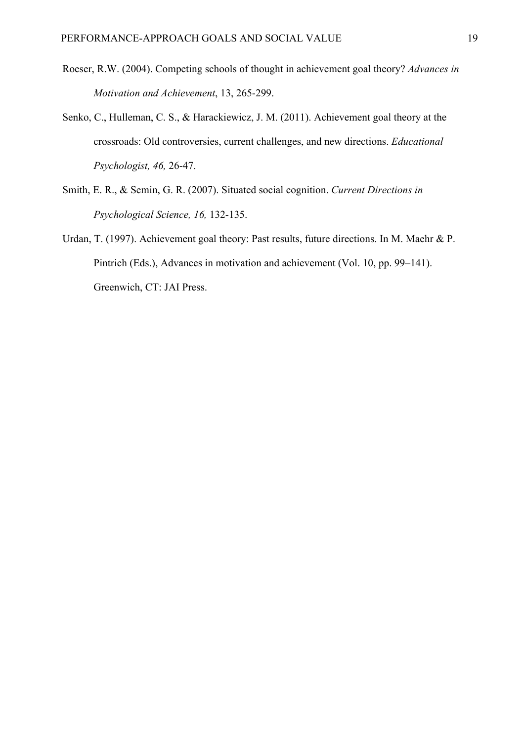- Roeser, R.W. (2004). Competing schools of thought in achievement goal theory? *Advances in Motivation and Achievement*, 13, 265-299.
- Senko, C., Hulleman, C. S., & Harackiewicz, J. M. (2011). Achievement goal theory at the crossroads: Old controversies, current challenges, and new directions. *Educational Psychologist, 46,* 26-47.
- Smith, E. R., & Semin, G. R. (2007). Situated social cognition. *Current Directions in Psychological Science, 16,* 132-135.
- Urdan, T. (1997). Achievement goal theory: Past results, future directions. In M. Maehr & P. Pintrich (Eds.), Advances in motivation and achievement (Vol. 10, pp. 99–141). Greenwich, CT: JAI Press.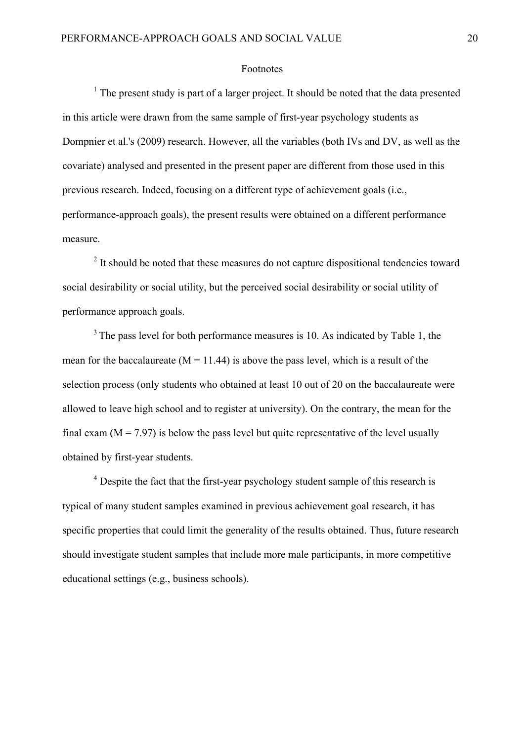#### Footnotes

 $<sup>1</sup>$  The present study is part of a larger project. It should be noted that the data presented</sup> in this article were drawn from the same sample of first-year psychology students as Dompnier et al.'s (2009) research. However, all the variables (both IVs and DV, as well as the covariate) analysed and presented in the present paper are different from those used in this previous research. Indeed, focusing on a different type of achievement goals (i.e., performance-approach goals), the present results were obtained on a different performance measure.

<sup>2</sup> It should be noted that these measures do not capture dispositional tendencies toward social desirability or social utility, but the perceived social desirability or social utility of performance approach goals.

 $3$  The pass level for both performance measures is 10. As indicated by Table 1, the mean for the baccalaureate ( $M = 11.44$ ) is above the pass level, which is a result of the selection process (only students who obtained at least 10 out of 20 on the baccalaureate were allowed to leave high school and to register at university). On the contrary, the mean for the final exam  $(M = 7.97)$  is below the pass level but quite representative of the level usually obtained by first-year students.

<sup>4</sup> Despite the fact that the first-year psychology student sample of this research is typical of many student samples examined in previous achievement goal research, it has specific properties that could limit the generality of the results obtained. Thus, future research should investigate student samples that include more male participants, in more competitive educational settings (e.g., business schools).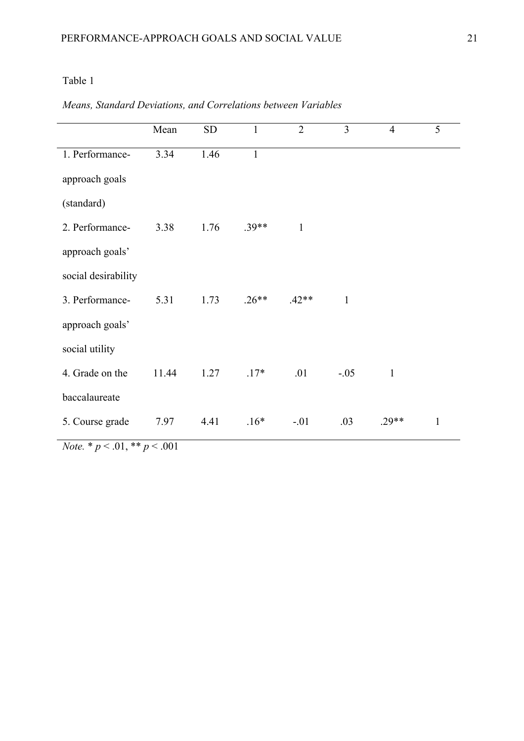# Table 1

| Mean  | SD                   | 1            | $\overline{2}$ | 3            | $\overline{4}$ | 5            |
|-------|----------------------|--------------|----------------|--------------|----------------|--------------|
| 3.34  | 1.46                 | $\mathbf{1}$ |                |              |                |              |
|       |                      |              |                |              |                |              |
|       |                      |              |                |              |                |              |
| 3.38  | 1.76                 | $.39**$      | $\mathbf{1}$   |              |                |              |
|       |                      |              |                |              |                |              |
|       |                      |              |                |              |                |              |
| 5.31  | 1.73                 | $.26**$      | $.42**$        | $\mathbf{1}$ |                |              |
|       |                      |              |                |              |                |              |
|       |                      |              |                |              |                |              |
| 11.44 | 1.27                 | $.17*$       | .01            | $-.05$       | $\mathbf{1}$   |              |
|       |                      |              |                |              |                |              |
| 7.97  | 4.41                 | $.16*$       | $-.01$         | .03          | $.29**$        | $\mathbf{1}$ |
|       | $\sim$ $\sim$ $\sim$ |              |                |              |                |              |

# *Means, Standard Deviations, and Correlations between Variables*

*Note.* \* *p* < .01, \*\* *p* < .001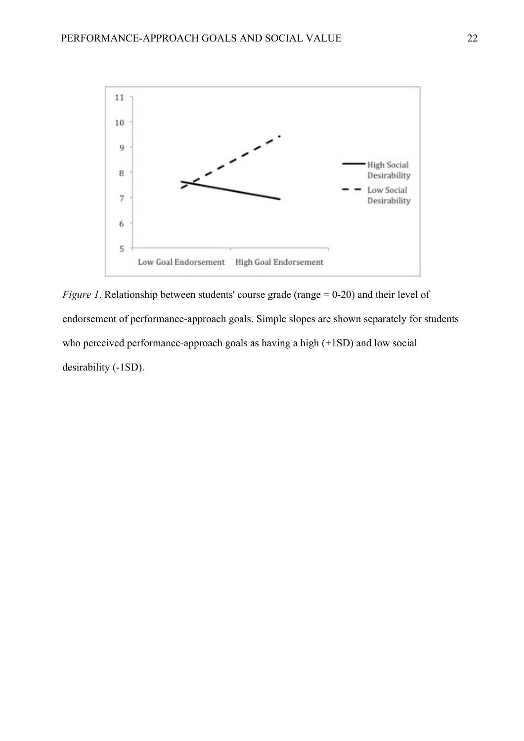

*Figure 1*. Relationship between students' course grade (range = 0-20) and their level of endorsement of performance-approach goals. Simple slopes are shown separately for students who perceived performance-approach goals as having a high (+1SD) and low social desirability (-1SD).